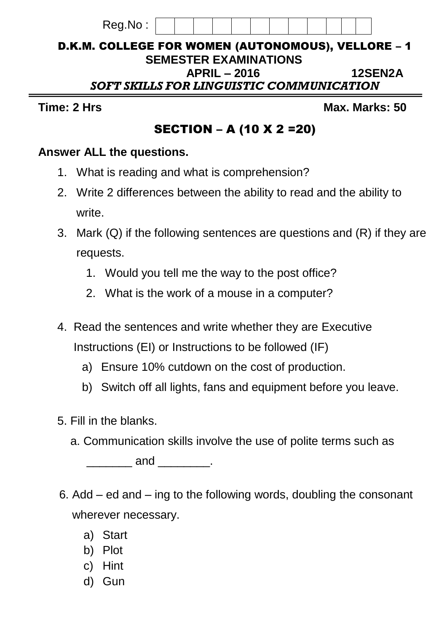| .                                                  |                              |  |  |  |                |  |
|----------------------------------------------------|------------------------------|--|--|--|----------------|--|
| D.K.M. COLLEGE FOR WOMEN (AUTONOMOUS), VELLORE – 1 |                              |  |  |  |                |  |
|                                                    | <b>SEMESTER EXAMINATIONS</b> |  |  |  |                |  |
|                                                    | $APRIL - 2016$               |  |  |  | <b>12SEN2A</b> |  |
| <b>SOFT SKILLS FOR LINGUISTIC COMMUNICATION</b>    |                              |  |  |  |                |  |

**Time: 2 Hrs Max. Marks: 50**

# SECTION – A (10 X 2 =20)

## **Answer ALL the questions.**

 $R$ eg. No  $\cdot$   $\sqrt{ }$ 

- 1. What is reading and what is comprehension?
- 2. Write 2 differences between the ability to read and the ability to write.
- 3. Mark (Q) if the following sentences are questions and (R) if they are requests.
	- 1. Would you tell me the way to the post office?
	- 2. What is the work of a mouse in a computer?
- 4. Read the sentences and write whether they are Executive Instructions (EI) or Instructions to be followed (IF)
	- a) Ensure 10% cutdown on the cost of production.
	- b) Switch off all lights, fans and equipment before you leave.
- 5. Fill in the blanks.
	- a. Communication skills involve the use of polite terms such as

 $and$   $\qquad$   $\qquad$ 

- 6. Add ed and ing to the following words, doubling the consonant wherever necessary.
	- a) Start
	- b) Plot
	- c) Hint
	- d) Gun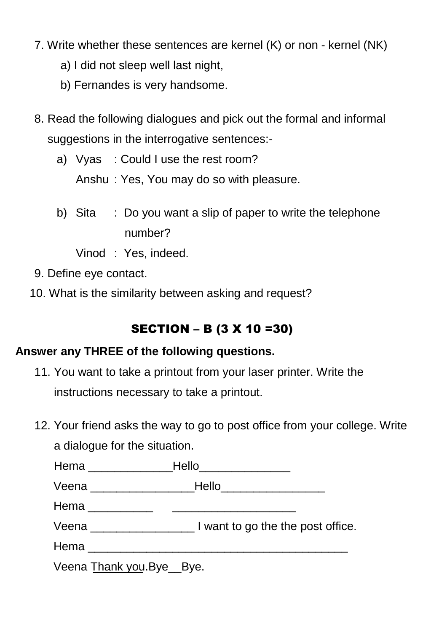- 7. Write whether these sentences are kernel (K) or non kernel (NK)
	- a) I did not sleep well last night,
	- b) Fernandes is very handsome.
- 8. Read the following dialogues and pick out the formal and informal suggestions in the interrogative sentences:
	- a) Vyas : Could I use the rest room? Anshu : Yes, You may do so with pleasure.
	- b) Sita : Do you want a slip of paper to write the telephone number?
		- Vinod : Yes, indeed.
- 9. Define eye contact.
- 10. What is the similarity between asking and request?

## SECTION – B (3 X 10 =30)

### **Answer any THREE of the following questions.**

- 11. You want to take a printout from your laser printer. Write the instructions necessary to take a printout.
- 12. Your friend asks the way to go to post office from your college. Write a dialogue for the situation.